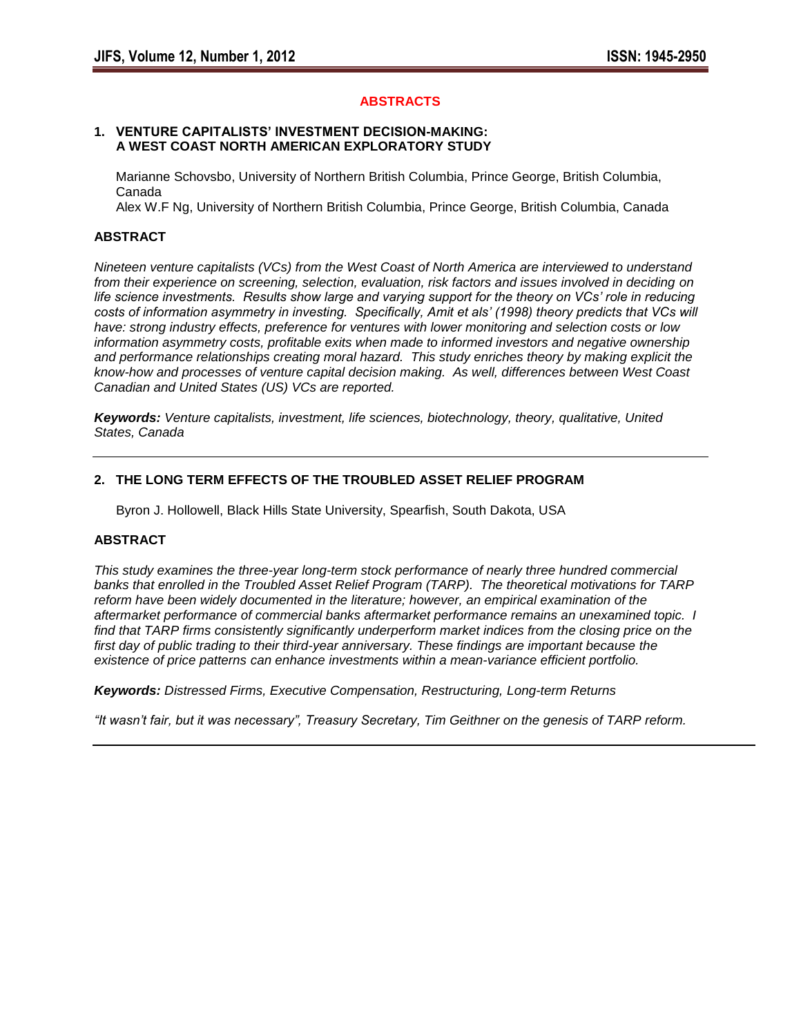## **ABSTRACTS**

#### **1. VENTURE CAPITALISTS' INVESTMENT DECISION-MAKING: A WEST COAST NORTH AMERICAN EXPLORATORY STUDY**

 Marianne Schovsbo, University of Northern British Columbia, Prince George, British Columbia, Canada

Alex W.F Ng, University of Northern British Columbia, Prince George, British Columbia, Canada

# **ABSTRACT**

*Nineteen venture capitalists (VCs) from the West Coast of North America are interviewed to understand from their experience on screening, selection, evaluation, risk factors and issues involved in deciding on life science investments. Results show large and varying support for the theory on VCs' role in reducing costs of information asymmetry in investing. Specifically, Amit et als' (1998) theory predicts that VCs will have: strong industry effects, preference for ventures with lower monitoring and selection costs or low information asymmetry costs, profitable exits when made to informed investors and negative ownership and performance relationships creating moral hazard. This study enriches theory by making explicit the know-how and processes of venture capital decision making. As well, differences between West Coast Canadian and United States (US) VCs are reported.*

*Keywords: Venture capitalists, investment, life sciences, biotechnology, theory, qualitative, United States, Canada*

## **2. THE LONG TERM EFFECTS OF THE TROUBLED ASSET RELIEF PROGRAM**

Byron J. Hollowell, Black Hills State University, Spearfish, South Dakota, USA

# **ABSTRACT**

*This study examines the three-year long-term stock performance of nearly three hundred commercial banks that enrolled in the Troubled Asset Relief Program (TARP). The theoretical motivations for TARP reform have been widely documented in the literature; however, an empirical examination of the aftermarket performance of commercial banks aftermarket performance remains an unexamined topic. I find that TARP firms consistently significantly underperform market indices from the closing price on the first day of public trading to their third-year anniversary. These findings are important because the existence of price patterns can enhance investments within a mean-variance efficient portfolio.*

*Keywords: Distressed Firms, Executive Compensation, Restructuring, Long-term Returns*

*"It wasn't fair, but it was necessary", Treasury Secretary, Tim Geithner on the genesis of TARP reform.*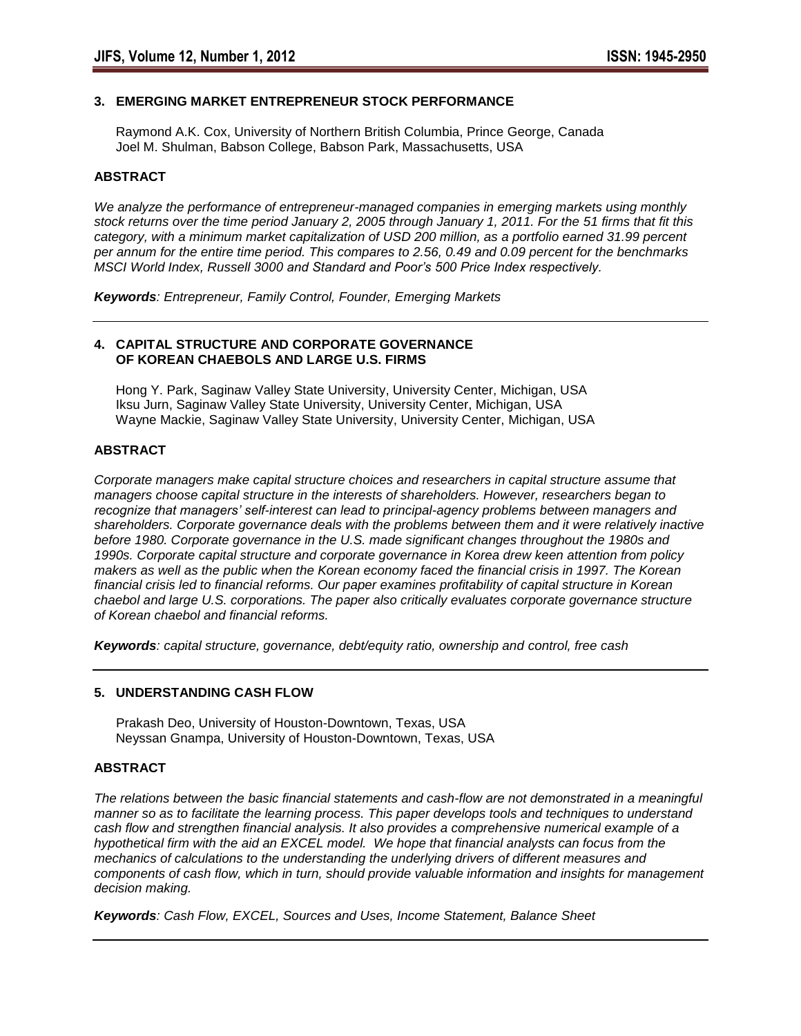# **3. EMERGING MARKET ENTREPRENEUR STOCK PERFORMANCE**

 Raymond A.K. Cox, University of Northern British Columbia, Prince George, Canada Joel M. Shulman, Babson College, Babson Park, Massachusetts, USA

### **ABSTRACT**

*We analyze the performance of entrepreneur-managed companies in emerging markets using monthly stock returns over the time period January 2, 2005 through January 1, 2011. For the 51 firms that fit this category, with a minimum market capitalization of USD 200 million, as a portfolio earned 31.99 percent per annum for the entire time period. This compares to 2.56, 0.49 and 0.09 percent for the benchmarks MSCI World Index, Russell 3000 and Standard and Poor's 500 Price Index respectively.*

*Keywords: Entrepreneur, Family Control, Founder, Emerging Markets*

### **4. CAPITAL STRUCTURE AND CORPORATE GOVERNANCE OF KOREAN CHAEBOLS AND LARGE U.S. FIRMS**

 Hong Y. Park, Saginaw Valley State University, University Center, Michigan, USA Iksu Jurn, Saginaw Valley State University, University Center, Michigan, USA Wayne Mackie, Saginaw Valley State University, University Center, Michigan, USA

## **ABSTRACT**

*Corporate managers make capital structure choices and researchers in capital structure assume that managers choose capital structure in the interests of shareholders. However, researchers began to recognize that managers' self-interest can lead to principal-agency problems between managers and shareholders. Corporate governance deals with the problems between them and it were relatively inactive before 1980. Corporate governance in the U.S. made significant changes throughout the 1980s and 1990s. Corporate capital structure and corporate governance in Korea drew keen attention from policy makers as well as the public when the Korean economy faced the financial crisis in 1997. The Korean financial crisis led to financial reforms. Our paper examines profitability of capital structure in Korean chaebol and large U.S. corporations. The paper also critically evaluates corporate governance structure of Korean chaebol and financial reforms.*

*Keywords: capital structure, governance, debt/equity ratio, ownership and control, free cash*

## **5. UNDERSTANDING CASH FLOW**

 Prakash Deo, University of Houston-Downtown, Texas, USA Neyssan Gnampa, University of Houston-Downtown, Texas, USA

## **ABSTRACT**

*The relations between the basic financial statements and cash-flow are not demonstrated in a meaningful manner so as to facilitate the learning process. This paper develops tools and techniques to understand cash flow and strengthen financial analysis. It also provides a comprehensive numerical example of a hypothetical firm with the aid an EXCEL model. We hope that financial analysts can focus from the mechanics of calculations to the understanding the underlying drivers of different measures and components of cash flow, which in turn, should provide valuable information and insights for management decision making.*

*Keywords: Cash Flow, EXCEL, Sources and Uses, Income Statement, Balance Sheet*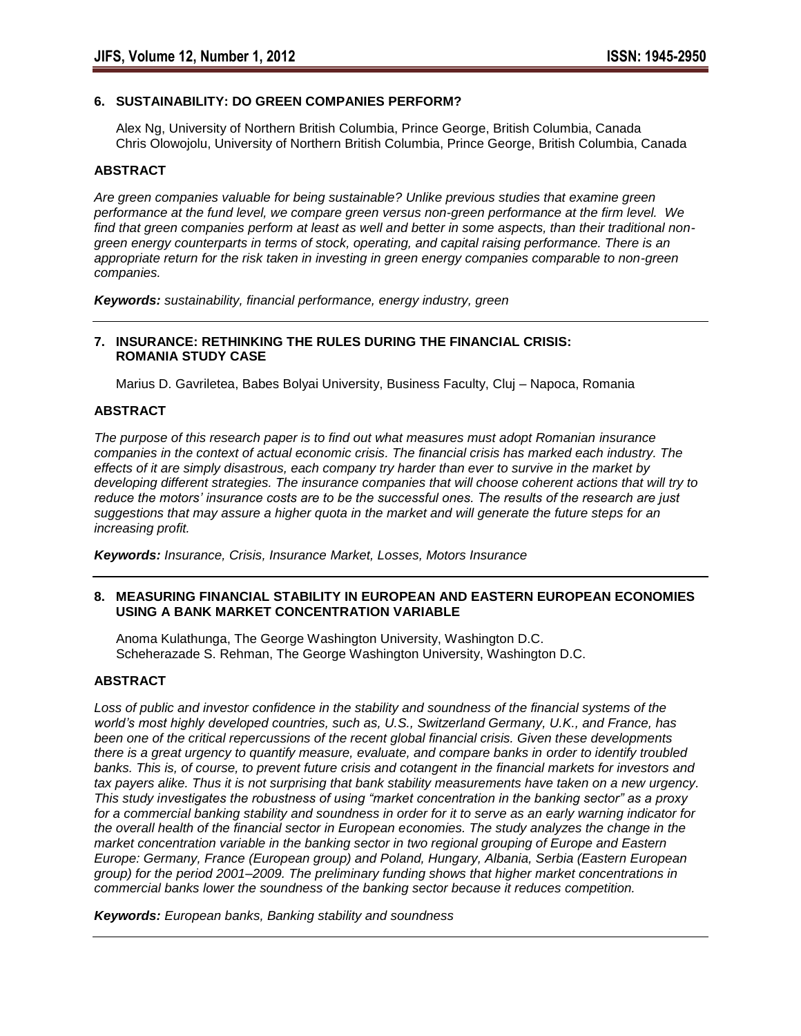#### **6. SUSTAINABILITY: DO GREEN COMPANIES PERFORM?**

 Alex Ng, University of Northern British Columbia, Prince George, British Columbia, Canada Chris Olowojolu, University of Northern British Columbia, Prince George, British Columbia, Canada

#### **ABSTRACT**

*Are green companies valuable for being sustainable? Unlike previous studies that examine green performance at the fund level, we compare green versus non-green performance at the firm level. We find that green companies perform at least as well and better in some aspects, than their traditional nongreen energy counterparts in terms of stock, operating, and capital raising performance. There is an appropriate return for the risk taken in investing in green energy companies comparable to non-green companies.* 

*Keywords: sustainability, financial performance, energy industry, green*

#### **7. INSURANCE: RETHINKING THE RULES DURING THE FINANCIAL CRISIS: ROMANIA STUDY CASE**

Marius D. Gavriletea, Babes Bolyai University, Business Faculty, Cluj – Napoca, Romania

## **ABSTRACT**

*The purpose of this research paper is to find out what measures must adopt Romanian insurance companies in the context of actual economic crisis. The financial crisis has marked each industry. The effects of it are simply disastrous, each company try harder than ever to survive in the market by developing different strategies. The insurance companies that will choose coherent actions that will try to reduce the motors' insurance costs are to be the successful ones. The results of the research are just suggestions that may assure a higher quota in the market and will generate the future steps for an increasing profit.* 

*Keywords: Insurance, Crisis, Insurance Market, Losses, Motors Insurance*

#### **8. MEASURING FINANCIAL STABILITY IN EUROPEAN AND EASTERN EUROPEAN ECONOMIES USING A BANK MARKET CONCENTRATION VARIABLE**

 Anoma Kulathunga, The George Washington University, Washington D.C. Scheherazade S. Rehman, The George Washington University, Washington D.C.

#### **ABSTRACT**

*Loss of public and investor confidence in the stability and soundness of the financial systems of the world's most highly developed countries, such as, U.S., Switzerland Germany, U.K., and France, has been one of the critical repercussions of the recent global financial crisis. Given these developments there is a great urgency to quantify measure, evaluate, and compare banks in order to identify troubled banks. This is, of course, to prevent future crisis and cotangent in the financial markets for investors and tax payers alike. Thus it is not surprising that bank stability measurements have taken on a new urgency. This study investigates the robustness of using "market concentration in the banking sector" as a proxy for a commercial banking stability and soundness in order for it to serve as an early warning indicator for the overall health of the financial sector in European economies. The study analyzes the change in the market concentration variable in the banking sector in two regional grouping of Europe and Eastern Europe: Germany, France (European group) and Poland, Hungary, Albania, Serbia (Eastern European group) for the period 2001–2009. The preliminary funding shows that higher market concentrations in commercial banks lower the soundness of the banking sector because it reduces competition.* 

*Keywords: European banks, Banking stability and soundness*